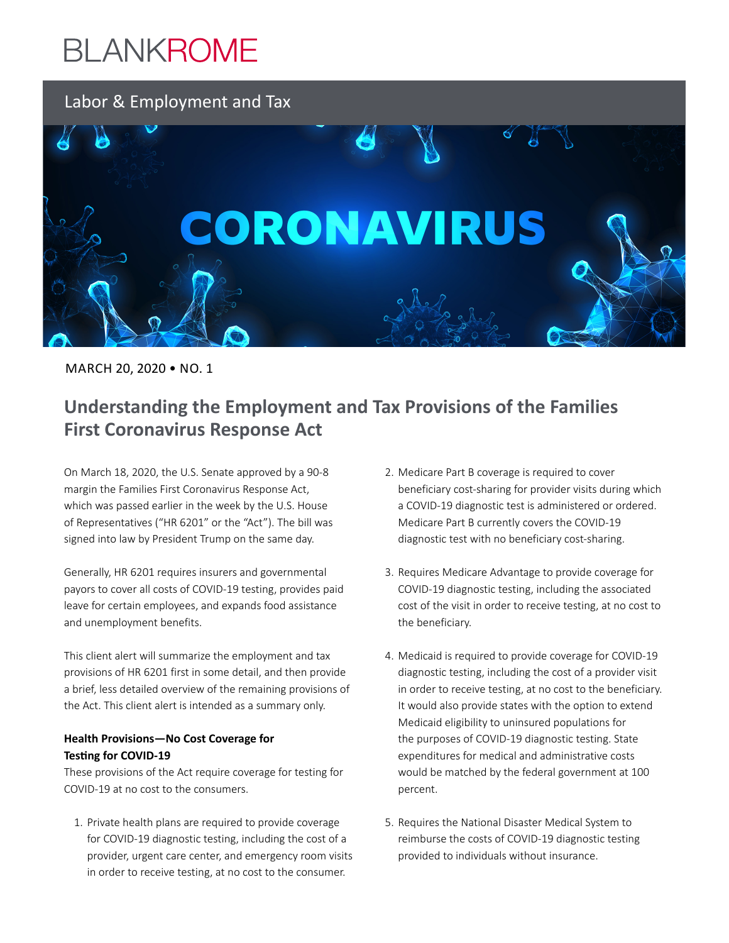### Labor & Employment and Tax



MARCH 20, 2020 • NO. 1

### **Understanding the Employment and Tax Provisions of the Families First Coronavirus Response Act**

On March 18, 2020, the U.S. Senate approved by a 90-8 margin the Families First Coronavirus Response Act, which was passed earlier in the week by the U.S. House of Representatives ("HR 6201" or the "Act"). The bill was signed into law by President Trump on the same day.

Generally, HR 6201 requires insurers and governmental payors to cover all costs of COVID-19 testing, provides paid leave for certain employees, and expands food assistance and unemployment benefits.

This client alert will summarize the employment and tax provisions of HR 6201 first in some detail, and then provide a brief, less detailed overview of the remaining provisions of the Act. This client alert is intended as a summary only.

#### **Health Provisions—No Cost Coverage for Testing for COVID-19**

These provisions of the Act require coverage for testing for COVID-19 at no cost to the consumers.

1. Private health plans are required to provide coverage for COVID-19 diagnostic testing, including the cost of a provider, urgent care center, and emergency room visits in order to receive testing, at no cost to the consumer.

- 2. Medicare Part B coverage is required to cover beneficiary cost-sharing for provider visits during which a COVID-19 diagnostic test is administered or ordered. Medicare Part B currently covers the COVID-19 diagnostic test with no beneficiary cost-sharing.
- 3. Requires Medicare Advantage to provide coverage for COVID-19 diagnostic testing, including the associated cost of the visit in order to receive testing, at no cost to the beneficiary.
- 4. Medicaid is required to provide coverage for COVID-19 diagnostic testing, including the cost of a provider visit in order to receive testing, at no cost to the beneficiary. It would also provide states with the option to extend Medicaid eligibility to uninsured populations for the purposes of COVID-19 diagnostic testing. State expenditures for medical and administrative costs would be matched by the federal government at 100 percent.
- 5. Requires the National Disaster Medical System to reimburse the costs of COVID-19 diagnostic testing provided to individuals without insurance.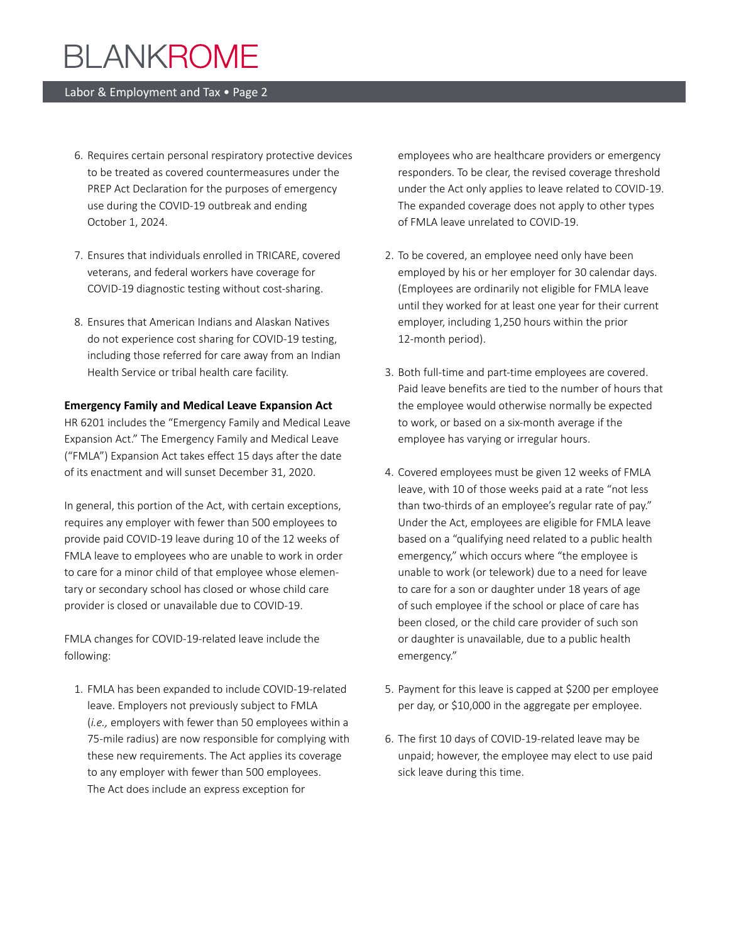#### Labor & Employment and Tax • Page 2

- 6. Requires certain personal respiratory protective devices to be treated as covered countermeasures under the PREP Act Declaration for the purposes of emergency use during the COVID-19 outbreak and ending October 1, 2024.
- 7. Ensures that individuals enrolled in TRICARE, covered veterans, and federal workers have coverage for COVID-19 diagnostic testing without cost-sharing.
- 8. Ensures that American Indians and Alaskan Natives do not experience cost sharing for COVID-19 testing, including those referred for care away from an Indian Health Service or tribal health care facility.

#### **Emergency Family and Medical Leave Expansion Act**

HR 6201 includes the "Emergency Family and Medical Leave Expansion Act." The Emergency Family and Medical Leave ("FMLA") Expansion Act takes effect 15 days after the date of its enactment and will sunset December 31, 2020.

In general, this portion of the Act, with certain exceptions, requires any employer with fewer than 500 employees to provide paid COVID-19 leave during 10 of the 12 weeks of FMLA leave to employees who are unable to work in order to care for a minor child of that employee whose elementary or secondary school has closed or whose child care provider is closed or unavailable due to COVID-19.

FMLA changes for COVID-19-related leave include the following:

1. FMLA has been expanded to include COVID-19-related leave. Employers not previously subject to FMLA (*i.e.,* employers with fewer than 50 employees within a 75-mile radius) are now responsible for complying with these new requirements. The Act applies its coverage to any employer with fewer than 500 employees. The Act does include an express exception for

employees who are healthcare providers or emergency responders. To be clear, the revised coverage threshold under the Act only applies to leave related to COVID-19. The expanded coverage does not apply to other types of FMLA leave unrelated to COVID-19.

- 2. To be covered, an employee need only have been employed by his or her employer for 30 calendar days. (Employees are ordinarily not eligible for FMLA leave until they worked for at least one year for their current employer, including 1,250 hours within the prior 12-month period).
- 3. Both full-time and part-time employees are covered. Paid leave benefits are tied to the number of hours that the employee would otherwise normally be expected to work, or based on a six-month average if the employee has varying or irregular hours.
- 4. Covered employees must be given 12 weeks of FMLA leave, with 10 of those weeks paid at a rate "not less than two-thirds of an employee's regular rate of pay." Under the Act, employees are eligible for FMLA leave based on a "qualifying need related to a public health emergency," which occurs where "the employee is unable to work (or telework) due to a need for leave to care for a son or daughter under 18 years of age of such employee if the school or place of care has been closed, or the child care provider of such son or daughter is unavailable, due to a public health emergency."
- 5. Payment for this leave is capped at \$200 per employee per day, or \$10,000 in the aggregate per employee.
- 6. The first 10 days of COVID-19-related leave may be unpaid; however, the employee may elect to use paid sick leave during this time.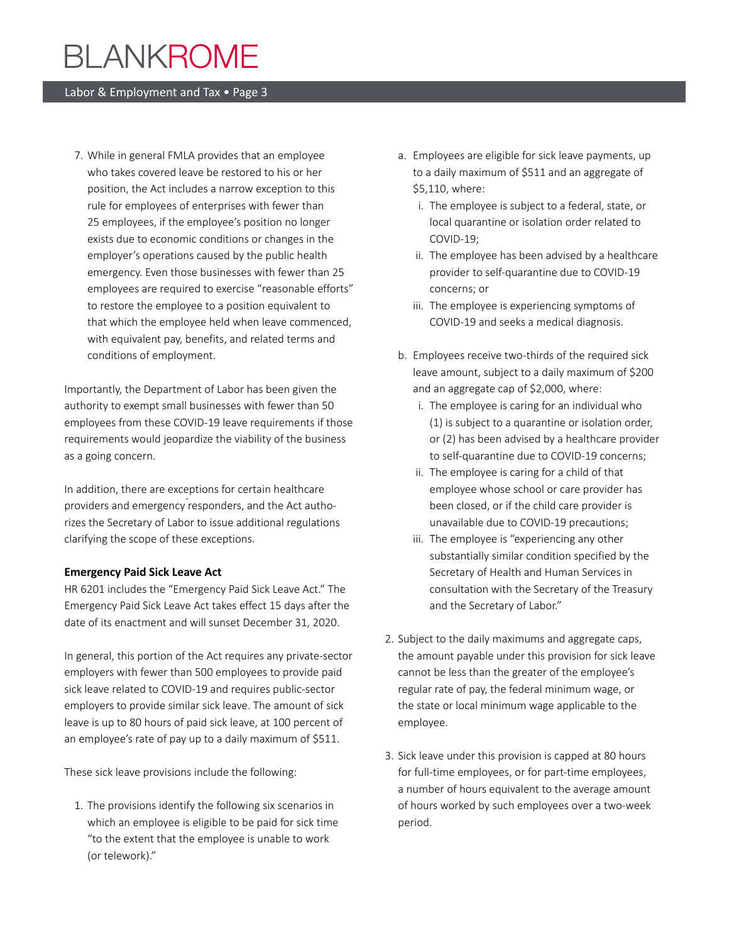#### Labor & Employment and Tax • Page 3

7. While in general FMLA provides that an employee who takes covered leave be restored to his or her position, the Act includes a narrow exception to this rule for employees of enterprises with fewer than 25 employees, if the employee's position no longer exists due to economic conditions or changes in the employer's operations caused by the public health emergency. Even those businesses with fewer than 25 employees are required to exercise "reasonable efforts" to restore the employee to a position equivalent to that which the employee held when leave commenced, with equivalent pay, benefits, and related terms and conditions of employment.

Importantly, the Department of Labor has been given the authority to exempt small businesses with fewer than 50 employees from these COVID-19 leave requirements if those requirements would jeopardize the viability of the business as a going concern.

In addition, there are exceptions for certain healthcare providers and emergency responders, and the Act authorizes the Secretary of Labor to issue additional regulations clarifying the scope of these exceptions.

#### **Emergency Paid Sick Leave Act**

HR 6201 includes the "Emergency Paid Sick Leave Act." The Emergency Paid Sick Leave Act takes effect 15 days after the date of its enactment and will sunset December 31, 2020.

In general, this portion of the Act requires any private-sector employers with fewer than 500 employees to provide paid sick leave related to COVID-19 and requires public-sector employers to provide similar sick leave. The amount of sick leave is up to 80 hours of paid sick leave, at 100 percent of an employee's rate of pay up to a daily maximum of \$511.

These sick leave provisions include the following:

1. The provisions identify the following six scenarios in which an employee is eligible to be paid for sick time "to the extent that the employee is unable to work (or telework)."

- a. Employees are eligible for sick leave payments, up to a daily maximum of \$511 and an aggregate of \$5,110, where:
	- i. The employee is subject to a federal, state, or local quarantine or isolation order related to COVID-19;
	- ii. The employee has been advised by a healthcare provider to self-quarantine due to COVID-19 concerns; or
	- iii. The employee is experiencing symptoms of COVID-19 and seeks a medical diagnosis.
- b. Employees receive two-thirds of the required sick leave amount, subject to a daily maximum of \$200 and an aggregate cap of \$2,000, where:
	- i. The employee is caring for an individual who (1) is subject to a quarantine or isolation order, or (2) has been advised by a healthcare provider to self-quarantine due to COVID-19 concerns;
	- ii. The employee is caring for a child of that employee whose school or care provider has been closed, or if the child care provider is unavailable due to COVID-19 precautions;
	- iii. The employee is "experiencing any other substantially similar condition specified by the Secretary of Health and Human Services in consultation with the Secretary of the Treasury and the Secretary of Labor."
- 2. Subject to the daily maximums and aggregate caps, the amount payable under this provision for sick leave cannot be less than the greater of the employee's regular rate of pay, the federal minimum wage, or the state or local minimum wage applicable to the employee.
- 3. Sick leave under this provision is capped at 80 hours for full-time employees, or for part-time employees, a number of hours equivalent to the average amount of hours worked by such employees over a two-week period.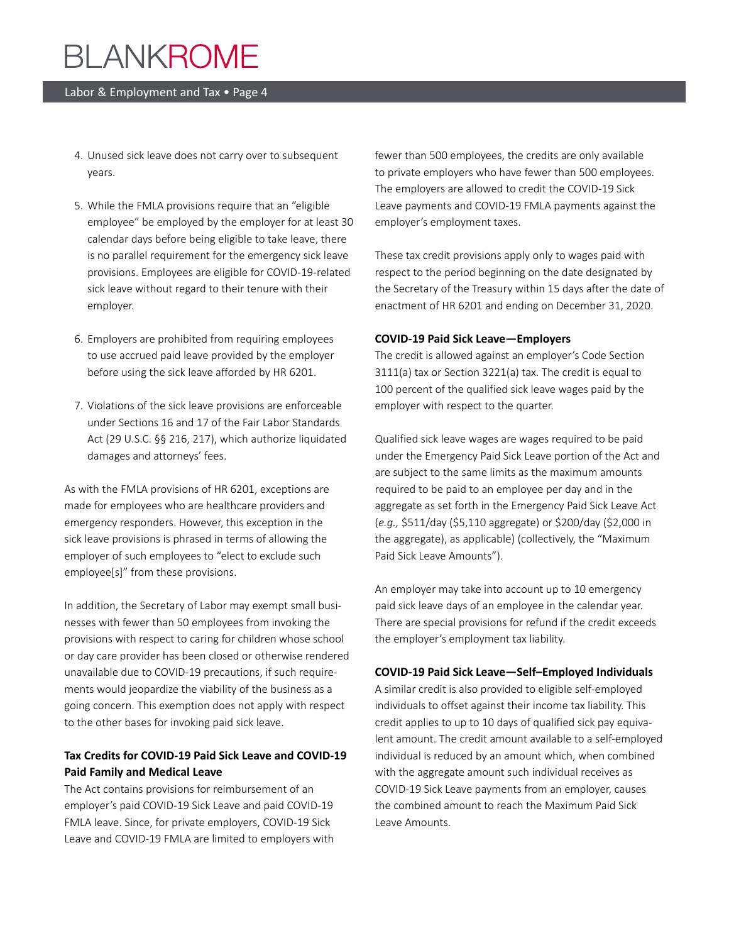#### Labor & Employment and Tax • Page 4

- 4. Unused sick leave does not carry over to subsequent years.
- 5. While the FMLA provisions require that an "eligible employee" be employed by the employer for at least 30 calendar days before being eligible to take leave, there is no parallel requirement for the emergency sick leave provisions. Employees are eligible for COVID-19-related sick leave without regard to their tenure with their employer.
- 6. Employers are prohibited from requiring employees to use accrued paid leave provided by the employer before using the sick leave afforded by HR 6201.
- 7. Violations of the sick leave provisions are enforceable under Sections 16 and 17 of the Fair Labor Standards Act (29 U.S.C. §§ 216, 217), which authorize liquidated damages and attorneys' fees.

As with the FMLA provisions of HR 6201, exceptions are made for employees who are healthcare providers and emergency responders. However, this exception in the sick leave provisions is phrased in terms of allowing the employer of such employees to "elect to exclude such employee[s]" from these provisions.

In addition, the Secretary of Labor may exempt small businesses with fewer than 50 employees from invoking the provisions with respect to caring for children whose school or day care provider has been closed or otherwise rendered unavailable due to COVID-19 precautions, if such requirements would jeopardize the viability of the business as a going concern. This exemption does not apply with respect to the other bases for invoking paid sick leave.

#### **Tax Credits for COVID-19 Paid Sick Leave and COVID-19 Paid Family and Medical Leave**

The Act contains provisions for reimbursement of an employer's paid COVID-19 Sick Leave and paid COVID-19 FMLA leave. Since, for private employers, COVID-19 Sick Leave and COVID-19 FMLA are limited to employers with fewer than 500 employees, the credits are only available to private employers who have fewer than 500 employees. The employers are allowed to credit the COVID-19 Sick Leave payments and COVID-19 FMLA payments against the employer's employment taxes.

These tax credit provisions apply only to wages paid with respect to the period beginning on the date designated by the Secretary of the Treasury within 15 days after the date of enactment of HR 6201 and ending on December 31, 2020.

#### **COVID-19 Paid Sick Leave—Employers**

The credit is allowed against an employer's Code Section 3111(a) tax or Section 3221(a) tax. The credit is equal to 100 percent of the qualified sick leave wages paid by the employer with respect to the quarter.

Qualified sick leave wages are wages required to be paid under the Emergency Paid Sick Leave portion of the Act and are subject to the same limits as the maximum amounts required to be paid to an employee per day and in the aggregate as set forth in the Emergency Paid Sick Leave Act (*e.g.,* \$511/day (\$5,110 aggregate) or \$200/day (\$2,000 in the aggregate), as applicable) (collectively, the "Maximum Paid Sick Leave Amounts").

An employer may take into account up to 10 emergency paid sick leave days of an employee in the calendar year. There are special provisions for refund if the credit exceeds the employer's employment tax liability.

#### **COVID-19 Paid Sick Leave—Self–Employed Individuals**

A similar credit is also provided to eligible self-employed individuals to offset against their income tax liability. This credit applies to up to 10 days of qualified sick pay equivalent amount. The credit amount available to a self-employed individual is reduced by an amount which, when combined with the aggregate amount such individual receives as COVID-19 Sick Leave payments from an employer, causes the combined amount to reach the Maximum Paid Sick Leave Amounts.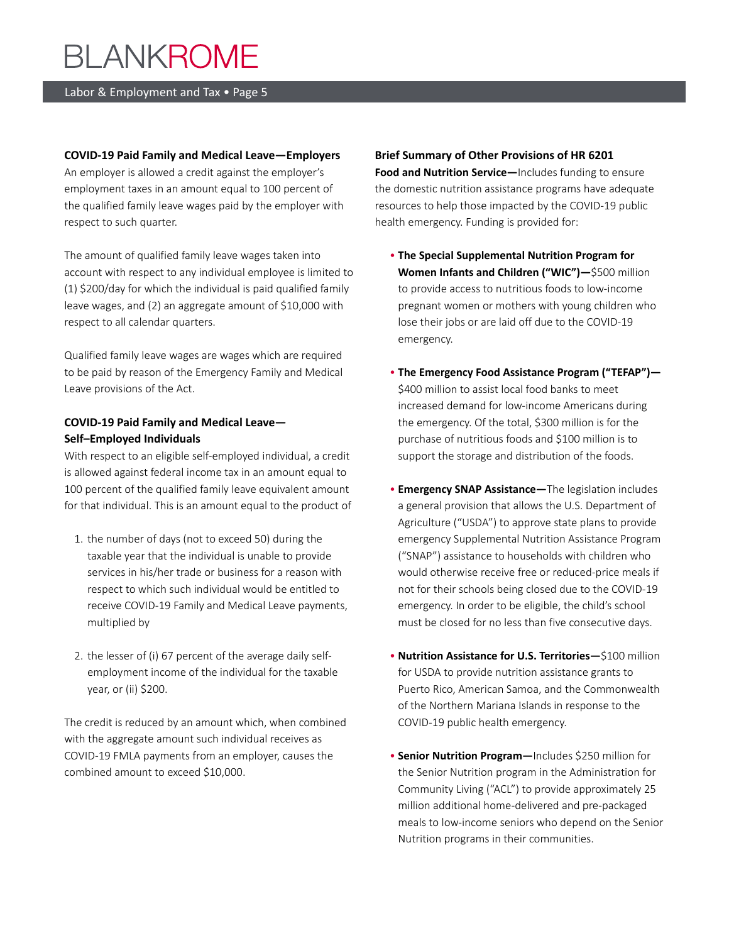#### Labor & Employment and Tax • Page 5

#### **COVID-19 Paid Family and Medical Leave—Employers**

An employer is allowed a credit against the employer's employment taxes in an amount equal to 100 percent of the qualified family leave wages paid by the employer with respect to such quarter.

The amount of qualified family leave wages taken into account with respect to any individual employee is limited to (1) \$200/day for which the individual is paid qualified family leave wages, and (2) an aggregate amount of \$10,000 with respect to all calendar quarters.

Qualified family leave wages are wages which are required to be paid by reason of the Emergency Family and Medical Leave provisions of the Act.

#### **COVID-19 Paid Family and Medical Leave— Self–Employed Individuals**

With respect to an eligible self-employed individual, a credit is allowed against federal income tax in an amount equal to 100 percent of the qualified family leave equivalent amount for that individual. This is an amount equal to the product of

- 1. the number of days (not to exceed 50) during the taxable year that the individual is unable to provide services in his/her trade or business for a reason with respect to which such individual would be entitled to receive COVID-19 Family and Medical Leave payments, multiplied by
- 2. the lesser of (i) 67 percent of the average daily selfemployment income of the individual for the taxable year, or (ii) \$200.

The credit is reduced by an amount which, when combined with the aggregate amount such individual receives as COVID-19 FMLA payments from an employer, causes the combined amount to exceed \$10,000.

**Brief Summary of Other Provisions of HR 6201 Food and Nutrition Service—**Includes funding to ensure the domestic nutrition assistance programs have adequate resources to help those impacted by the COVID-19 public health emergency. Funding is provided for:

- **The Special Supplemental Nutrition Program for Women Infants and Children ("WIC")—**\$500 million to provide access to nutritious foods to low-income pregnant women or mothers with young children who lose their jobs or are laid off due to the COVID-19 emergency.
- **The Emergency Food Assistance Program ("TEFAP")—** \$400 million to assist local food banks to meet increased demand for low-income Americans during the emergency. Of the total, \$300 million is for the purchase of nutritious foods and \$100 million is to support the storage and distribution of the foods.
- **Emergency SNAP Assistance—**The legislation includes a general provision that allows the U.S. Department of Agriculture ("USDA") to approve state plans to provide emergency Supplemental Nutrition Assistance Program ("SNAP") assistance to households with children who would otherwise receive free or reduced-price meals if not for their schools being closed due to the COVID-19 emergency. In order to be eligible, the child's school must be closed for no less than five consecutive days.
- **Nutrition Assistance for U.S. Territories—**\$100 million for USDA to provide nutrition assistance grants to Puerto Rico, American Samoa, and the Commonwealth of the Northern Mariana Islands in response to the COVID-19 public health emergency.
- **Senior Nutrition Program—**Includes \$250 million for the Senior Nutrition program in the Administration for Community Living ("ACL") to provide approximately 25 million additional home-delivered and pre-packaged meals to low-income seniors who depend on the Senior Nutrition programs in their communities.